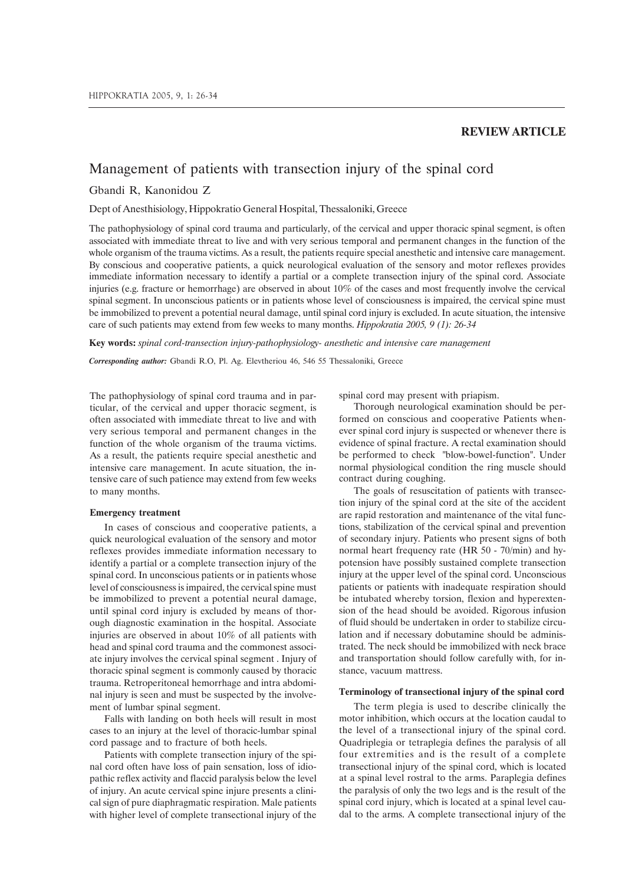## **REVIEW ARTICLE**

# Management of patients with transection injury of the spinal cord

## Gbandi R, Kanonidou Z

Dept of Anesthisiology, Hippokratio General Hospital, Thessaloniki, Greece

The pathophysiology of spinal cord trauma and particularly, of the cervical and upper thoracic spinal segment, is often associated with immediate threat to live and with very serious temporal and permanent changes in the function of the whole organism of the trauma victims. As a result, the patients require special anesthetic and intensive care management. By conscious and cooperative patients, a quick neurological evaluation of the sensory and motor reflexes provides immediate information necessary to identify a partial or a complete transection injury of the spinal cord. Associate injuries (e.g. fracture or hemorrhage) are observed in about 10% of the cases and most frequently involve the cervical spinal segment. In unconscious patients or in patients whose level of consciousness is impaired, the cervical spine must be immobilized to prevent a potential neural damage, until spinal cord injury is excluded. In acute situation, the intensive care of such patients may extend from few weeks to many months. *Hippokratia 2005, 9 (1): 26-34*

**Key words:** *spinal cord-transection injury-pathophysiology- anesthetic and intensive care management*

*Corresponding author:* Gbandi R.O, Pl. Ag. Elevtheriou 46, 546 55 Thessaloniki, Greece

The pathophysiology of spinal cord trauma and in particular, of the cervical and upper thoracic segment, is often associated with immediate threat to live and with very serious temporal and permanent changes in the function of the whole organism of the trauma victims. As a result, the patients require special anesthetic and intensive care management. In acute situation, the intensive care of such patience may extend from few weeks to many months.

### **Emergency treatment**

In cases of conscious and cooperative patients, a quick neurological evaluation of the sensory and motor reflexes provides immediate information necessary to identify a partial or a complete transection injury of the spinal cord. In unconscious patients or in patients whose level of consciousness is impaired, the cervical spine must be immobilized to prevent a potential neural damage, until spinal cord injury is excluded by means of thorough diagnostic examination in the hospital. Associate injuries are observed in about 10% of all patients with head and spinal cord trauma and the commonest associate injury involves the cervical spinal segment . Injury of thoracic spinal segment is commonly caused by thoracic trauma. Retroperitoneal hemorrhage and intra abdominal injury is seen and must be suspected by the involvement of lumbar spinal segment.

Falls with landing on both heels will result in most cases to an injury at the level of thoracic-lumbar spinal cord passage and to fracture of both heels.

Patients with complete transection injury of the spinal cord often have loss of pain sensation, loss of idiopathic reflex activity and flaccid paralysis below the level of injury. An acute cervical spine injure presents a clinical sign of pure diaphragmatic respiration. Male patients with higher level of complete transectional injury of the

spinal cord may present with priapism.

Thorough neurological examination should be performed on conscious and cooperative Patients whenever spinal cord injury is suspected or whenever there is evidence of spinal fracture. A rectal examination should be performed to check "blow-bowel-function". Under normal physiological condition the ring muscle should contract during coughing.

The goals of resuscitation of patients with transection injury of the spinal cord at the site of the accident are rapid restoration and maintenance of the vital functions, stabilization of the cervical spinal and prevention of secondary injury. Patients who present signs of both normal heart frequency rate (HR 50 - 70/min) and hypotension have possibly sustained complete transection injury at the upper level of the spinal cord. Unconscious patients or patients with inadequate respiration should be intubated whereby torsion, flexion and hyperextension of the head should be avoided. Rigorous infusion of fluid should be undertaken in order to stabilize circulation and if necessary dobutamine should be administrated. The neck should be immobilized with neck brace and transportation should follow carefully with, for instance, vacuum mattress.

#### **Terminology of transectional injury of the spinal cord**

The term plegia is used to describe clinically the motor inhibition, which occurs at the location caudal to the level of a transectional injury of the spinal cord. Quadriplegia or tetraplegia defines the paralysis of all four extremities and is the result of a complete transectional injury of the spinal cord, which is located at a spinal level rostral to the arms. Paraplegia defines the paralysis of only the two legs and is the result of the spinal cord injury, which is located at a spinal level caudal to the arms. A complete transectional injury of the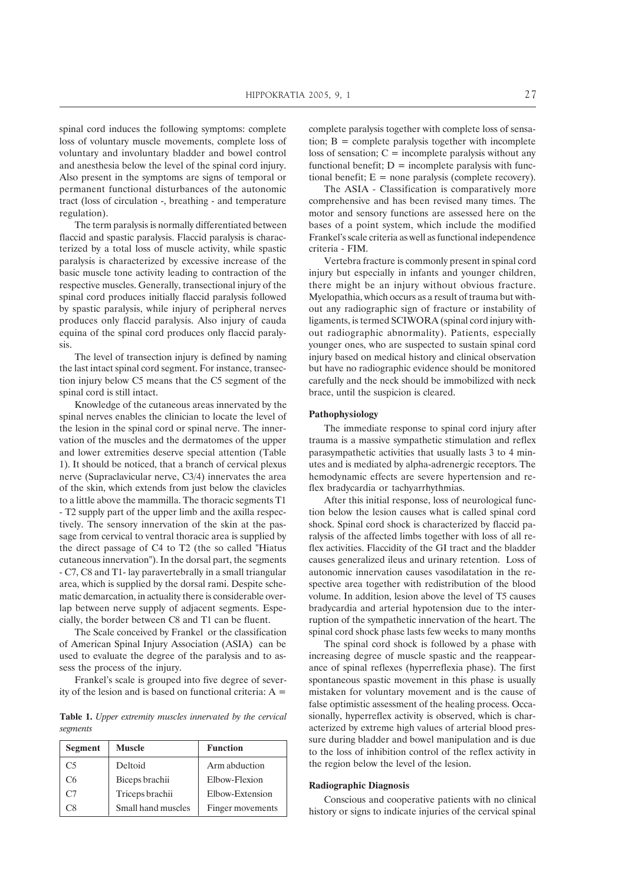spinal cord induces the following symptoms: complete loss of voluntary muscle movements, complete loss of voluntary and involuntary bladder and bowel control and anesthesia below the level of the spinal cord injury. Also present in the symptoms are signs of temporal or permanent functional disturbances of the autonomic tract (loss of circulation -, breathing - and temperature regulation).

The term paralysis is normally differentiated between flaccid and spastic paralysis. Flaccid paralysis is characterized by a total loss of muscle activity, while spastic paralysis is characterized by excessive increase of the basic muscle tone activity leading to contraction of the respective muscles. Generally, transectional injury of the spinal cord produces initially flaccid paralysis followed by spastic paralysis, while injury of peripheral nerves produces only flaccid paralysis. Also injury of cauda equina of the spinal cord produces only flaccid paralysis.

The level of transection injury is defined by naming the last intact spinal cord segment. For instance, transection injury below C5 means that the C5 segment of the spinal cord is still intact.

Knowledge of the cutaneous areas innervated by the spinal nerves enables the clinician to locate the level of the lesion in the spinal cord or spinal nerve. The innervation of the muscles and the dermatomes of the upper and lower extremities deserve special attention (Table 1). It should be noticed, that a branch of cervical plexus nerve (Supraclavicular nerve, C3/4) innervates the area of the skin, which extends from just below the clavicles to a little above the mammilla. The thoracic segments T1 - T2 supply part of the upper limb and the axilla respectively. The sensory innervation of the skin at the passage from cervical to ventral thoracic area is supplied by the direct passage of C4 to T2 (the so called "Hiatus cutaneous innervation"). In the dorsal part, the segments - C7, C8 and T1- lay paravertebrally in a small triangular area, which is supplied by the dorsal rami. Despite schematic demarcation, in actuality there is considerable overlap between nerve supply of adjacent segments. Especially, the border between C8 and T1 can be fluent.

The Scale conceived by Frankel or the classification of American Spinal Injury Association (ASIA) can be used to evaluate the degree of the paralysis and to assess the process of the injury.

Frankel's scale is grouped into five degree of severity of the lesion and is based on functional criteria:  $A =$ 

**Table 1.** *Upper extremity muscles innervated by the cervical segments*

| Segment        | <b>Muscle</b>      | <b>Function</b>  |
|----------------|--------------------|------------------|
| C <sub>5</sub> | Deltoid            | Arm abduction    |
| C <sub>6</sub> | Biceps brachii     | Elbow-Flexion    |
| C <sub>7</sub> | Triceps brachii    | Elbow-Extension  |
| C8             | Small hand muscles | Finger movements |

complete paralysis together with complete loss of sensation;  $B =$  complete paralysis together with incomplete loss of sensation;  $C =$  incomplete paralysis without any functional benefit;  $D =$  incomplete paralysis with functional benefit;  $E =$  none paralysis (complete recovery).

The ASIA - Classification is comparatively more comprehensive and has been revised many times. The motor and sensory functions are assessed here on the bases of a point system, which include the modified Frankel's scale criteria as well as functional independence criteria - FIM.

Vertebra fracture is commonly present in spinal cord injury but especially in infants and younger children, there might be an injury without obvious fracture. Myelopathia, which occurs as a result of trauma but without any radiographic sign of fracture or instability of ligaments, is termed SCIWORA (spinal cord injury without radiographic abnormality). Patients, especially younger ones, who are suspected to sustain spinal cord injury based on medical history and clinical observation but have no radiographic evidence should be monitored carefully and the neck should be immobilized with neck brace, until the suspicion is cleared.

#### **Pathophysiology**

The immediate response to spinal cord injury after trauma is a massive sympathetic stimulation and reflex parasympathetic activities that usually lasts 3 to 4 minutes and is mediated by alpha-adrenergic receptors. The hemodynamic effects are severe hypertension and reflex bradycardia or tachyarrhythmias.

After this initial response, loss of neurological function below the lesion causes what is called spinal cord shock. Spinal cord shock is characterized by flaccid paralysis of the affected limbs together with loss of all reflex activities. Flaccidity of the GI tract and the bladder causes generalized ileus and urinary retention. Loss of autonomic innervation causes vasodilatation in the respective area together with redistribution of the blood volume. In addition, lesion above the level of T5 causes bradycardia and arterial hypotension due to the interruption of the sympathetic innervation of the heart. The spinal cord shock phase lasts few weeks to many months

The spinal cord shock is followed by a phase with increasing degree of muscle spastic and the reappearance of spinal reflexes (hyperreflexia phase). The first spontaneous spastic movement in this phase is usually mistaken for voluntary movement and is the cause of false optimistic assessment of the healing process. Occasionally, hyperreflex activity is observed, which is characterized by extreme high values of arterial blood pressure during bladder and bowel manipulation and is due to the loss of inhibition control of the reflex activity in the region below the level of the lesion.

#### **Radiographic Diagnosis**

Conscious and cooperative patients with no clinical history or signs to indicate injuries of the cervical spinal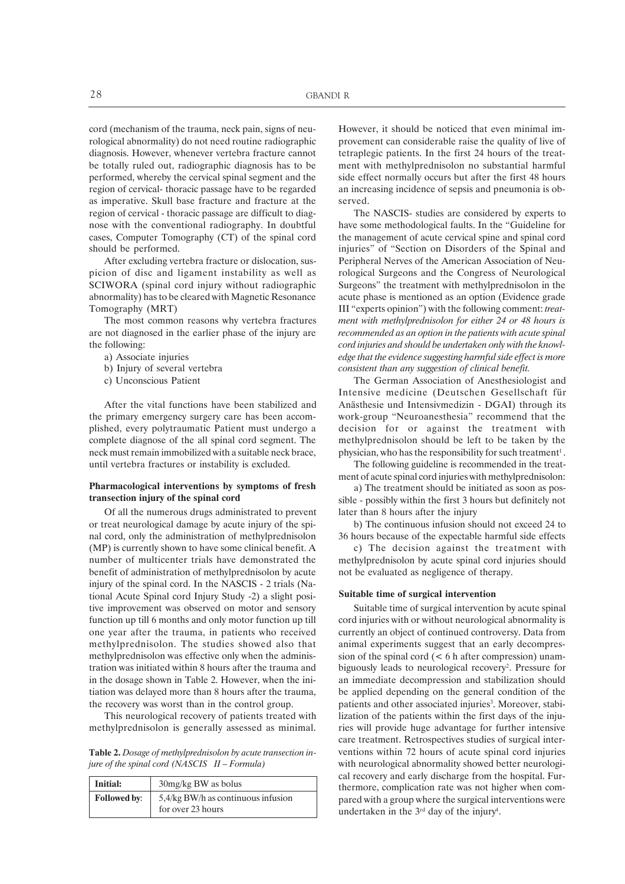cord (mechanism of the trauma, neck pain, signs of neurological abnormality) do not need routine radiographic diagnosis. However, whenever vertebra fracture cannot be totally ruled out, radiographic diagnosis has to be performed, whereby the cervical spinal segment and the region of cervical- thoracic passage have to be regarded as imperative. Skull base fracture and fracture at the region of cervical - thoracic passage are difficult to diagnose with the conventional radiography. In doubtful cases, Computer Tomography (CT) of the spinal cord should be performed.

After excluding vertebra fracture or dislocation, suspicion of disc and ligament instability as well as SCIWORA (spinal cord injury without radiographic abnormality) has to be cleared with Magnetic Resonance Tomography (MRT)

The most common reasons why vertebra fractures are not diagnosed in the earlier phase of the injury are the following:

- a) Associate injuries
- b) Injury of several vertebra
- c) Unconscious Patient

After the vital functions have been stabilized and the primary emergency surgery care has been accomplished, every polytraumatic Patient must undergo a complete diagnose of the all spinal cord segment. The neck must remain immobilized with a suitable neck brace, until vertebra fractures or instability is excluded.

## **Pharmacological interventions by symptoms of fresh transection injury of the spinal cord**

Of all the numerous drugs administrated to prevent or treat neurological damage by acute injury of the spinal cord, only the administration of methylprednisolon (MP) is currently shown to have some clinical benefit. A number of multicenter trials have demonstrated the benefit of administration of methylprednisolon by acute injury of the spinal cord. In the NASCIS - 2 trials (National Acute Spinal cord Injury Study -2) a slight positive improvement was observed on motor and sensory function up till 6 months and only motor function up till one year after the trauma, in patients who received methylprednisolon. The studies showed also that methylprednisolon was effective only when the administration was initiated within 8 hours after the trauma and in the dosage shown in Table 2. However, when the initiation was delayed more than 8 hours after the trauma, the recovery was worst than in the control group.

This neurological recovery of patients treated with methylprednisolon is generally assessed as minimal.

**Table 2.** *Dosage of methylprednisolon by acute transection injure of the spinal cord (NASCIS II – Formula)*

| <b>Initial:</b>     | $30mg/kg$ BW as bolus                                   |
|---------------------|---------------------------------------------------------|
| <b>Followed by:</b> | 5,4/kg BW/h as continuous infusion<br>for over 23 hours |

However, it should be noticed that even minimal improvement can considerable raise the quality of live of tetraplegic patients. In the first 24 hours of the treatment with methylprednisolon no substantial harmful side effect normally occurs but after the first 48 hours an increasing incidence of sepsis and pneumonia is observed.

The NASCIS- studies are considered by experts to have some methodological faults. In the "Guideline for the management of acute cervical spine and spinal cord injuries" of "Section on Disorders of the Spinal and Peripheral Nerves of the American Association of Neurological Surgeons and the Congress of Neurological Surgeons" the treatment with methylprednisolon in the acute phase is mentioned as an option (Evidence grade III "experts opinion") with the following comment: *treatment with methylprednisolon for either 24 or 48 hours is recommended as an option in the patients with acute spinal cord injuries and should be undertaken only with the knowledge that the evidence suggesting harmful side effect is more consistent than any suggestion of clinical benefit.*

The German Association of Anesthesiologist and Intensive medicine (Deutschen Gesellschaft für Anästhesie und Intensivmedizin - DGAI) through its work-group "Neuroanesthesia" recommend that the decision for or against the treatment with methylprednisolon should be left to be taken by the physician, who has the responsibility for such treatment<sup>1</sup>.

The following guideline is recommended in the treatment of acute spinal cord injuries with methylprednisolon:

a) The treatment should be initiated as soon as possible - possibly within the first 3 hours but definitely not later than 8 hours after the injury

b) The continuous infusion should not exceed 24 to 36 hours because of the expectable harmful side effects

c) The decision against the treatment with methylprednisolon by acute spinal cord injuries should not be evaluated as negligence of therapy.

#### **Suitable time of surgical intervention**

Suitable time of surgical intervention by acute spinal cord injuries with or without neurological abnormality is currently an object of continued controversy. Data from animal experiments suggest that an early decompression of the spinal cord (< 6 h after compression) unambiguously leads to neurological recovery<sup>2</sup>. Pressure for an immediate decompression and stabilization should be applied depending on the general condition of the patients and other associated injuries<sup>3</sup>. Moreover, stabilization of the patients within the first days of the injuries will provide huge advantage for further intensive care treatment. Retrospectives studies of surgical interventions within 72 hours of acute spinal cord injuries with neurological abnormality showed better neurological recovery and early discharge from the hospital. Furthermore, complication rate was not higher when compared with a group where the surgical interventions were undertaken in the  $3<sup>rd</sup>$  day of the injury<sup>4</sup>.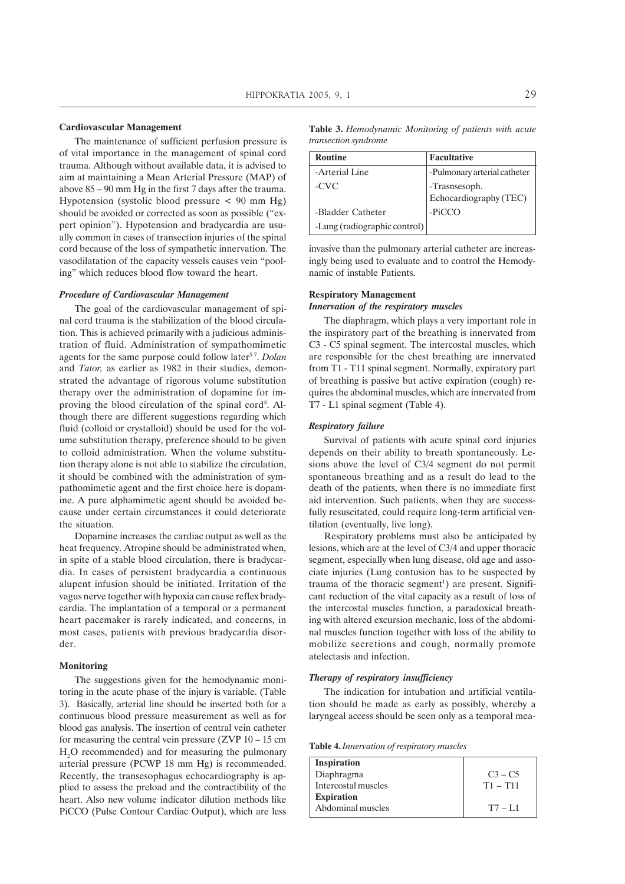## **Cardiovascular Management**

The maintenance of sufficient perfusion pressure is of vital importance in the management of spinal cord trauma. Although without available data, it is advised to aim at maintaining a Mean Arterial Pressure (MAP) of above 85 – 90 mm Hg in the first 7 days after the trauma. Hypotension (systolic blood pressure < 90 mm Hg) should be avoided or corrected as soon as possible ("expert opinion"). Hypotension and bradycardia are usually common in cases of transection injuries of the spinal cord because of the loss of sympathetic innervation. The vasodilatation of the capacity vessels causes vein "pooling" which reduces blood flow toward the heart.

## *Procedure of Cardiovascular Management*

The goal of the cardiovascular management of spinal cord trauma is the stabilization of the blood circulation. This is achieved primarily with a judicious administration of fluid. Administration of sympathomimetic agents for the same purpose could follow later<sup>5-7</sup>. *Dolan* and *Tator,* as earlier as 1982 in their studies, demonstrated the advantage of rigorous volume substitution therapy over the administration of dopamine for improving the blood circulation of the spinal cord<sup>8</sup>. Although there are different suggestions regarding which fluid (colloid or crystalloid) should be used for the volume substitution therapy, preference should to be given to colloid administration. When the volume substitution therapy alone is not able to stabilize the circulation, it should be combined with the administration of sympathomimetic agent and the first choice here is dopamine. A pure alphamimetic agent should be avoided because under certain circumstances it could deteriorate the situation.

Dopamine increases the cardiac output as well as the heat frequency. Atropine should be administrated when, in spite of a stable blood circulation, there is bradycardia. In cases of persistent bradycardia a continuous alupent infusion should be initiated. Irritation of the vagus nerve together with hypoxia can cause reflex bradycardia. The implantation of a temporal or a permanent heart pacemaker is rarely indicated, and concerns, in most cases, patients with previous bradycardia disorder.

#### **Monitoring**

The suggestions given for the hemodynamic monitoring in the acute phase of the injury is variable. (Table 3). Basically, arterial line should be inserted both for a continuous blood pressure measurement as well as for blood gas analysis. The insertion of central vein catheter for measuring the central vein pressure  $(ZVP 10 - 15$  cm H2 O recommended) and for measuring the pulmonary arterial pressure (PCWP 18 mm Hg) is recommended. Recently, the transesophagus echocardiography is applied to assess the preload and the contractibility of the heart. Also new volume indicator dilution methods like PiCCO (Pulse Contour Cardiac Output), which are less **Table 3.** *Hemodynamic Monitoring of patients with acute transection syndrome*

| <b>Routine</b>               | <b>Facultative</b>                      |
|------------------------------|-----------------------------------------|
| -Arterial Line               | -Pulmonary arterial catheter            |
| $-CVC$                       | -Trasnsesoph.<br>Echocardiography (TEC) |
|                              |                                         |
| -Bladder Catheter            | -PiCCO                                  |
| -Lung (radiographic control) |                                         |

invasive than the pulmonary arterial catheter are increasingly being used to evaluate and to control the Hemodynamic of instable Patients.

# **Respiratory Management**

## *Innervation of the respiratory muscles*

The diaphragm, which plays a very important role in the inspiratory part of the breathing is innervated from C3 - C5 spinal segment. The intercostal muscles, which are responsible for the chest breathing are innervated from T1 - T11 spinal segment. Normally, expiratory part of breathing is passive but active expiration (cough) requires the abdominal muscles, which are innervated from T7 - L1 spinal segment (Table 4).

#### *Respiratory failure*

Survival of patients with acute spinal cord injuries depends on their ability to breath spontaneously. Lesions above the level of C3/4 segment do not permit spontaneous breathing and as a result do lead to the death of the patients, when there is no immediate first aid intervention. Such patients, when they are successfully resuscitated, could require long-term artificial ventilation (eventually, live long).

Respiratory problems must also be anticipated by lesions, which are at the level of C3/4 and upper thoracic segment, especially when lung disease, old age and associate injuries (Lung contusion has to be suspected by trauma of the thoracic segment<sup>1</sup>) are present. Significant reduction of the vital capacity as a result of loss of the intercostal muscles function, a paradoxical breathing with altered excursion mechanic, loss of the abdominal muscles function together with loss of the ability to mobilize secretions and cough, normally promote atelectasis and infection.

#### *Therapy of respiratory insufficiency*

The indication for intubation and artificial ventilation should be made as early as possibly, whereby a laryngeal access should be seen only as a temporal mea-

**Table 4.***Innervation of respiratory muscles*

| Inspiration         |             |
|---------------------|-------------|
| Diaphragma          | $C_3 - C_5$ |
| Intercostal muscles | $T1 - T11$  |
| <b>Expiration</b>   |             |
| Abdominal muscles   | $T7 - 1.1$  |
|                     |             |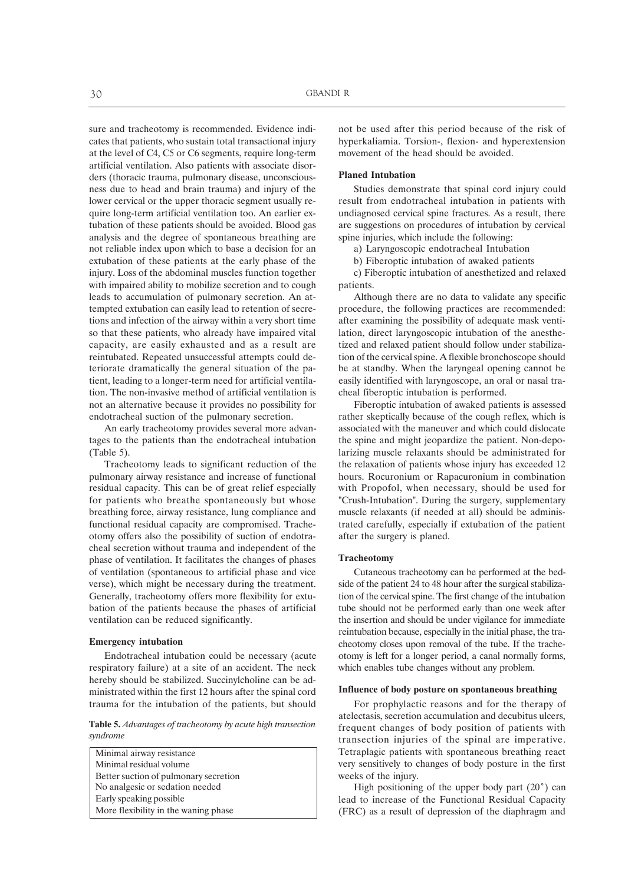sure and tracheotomy is recommended. Evidence indicates that patients, who sustain total transactional injury at the level of C4, C5 or C6 segments, require long-term artificial ventilation. Also patients with associate disorders (thoracic trauma, pulmonary disease, unconsciousness due to head and brain trauma) and injury of the lower cervical or the upper thoracic segment usually require long-term artificial ventilation too. An earlier extubation of these patients should be avoided. Blood gas analysis and the degree of spontaneous breathing are not reliable index upon which to base a decision for an extubation of these patients at the early phase of the injury. Loss of the abdominal muscles function together with impaired ability to mobilize secretion and to cough leads to accumulation of pulmonary secretion. An attempted extubation can easily lead to retention of secretions and infection of the airway within a very short time so that these patients, who already have impaired vital capacity, are easily exhausted and as a result are reintubated. Repeated unsuccessful attempts could deteriorate dramatically the general situation of the patient, leading to a longer-term need for artificial ventilation. The non-invasive method of artificial ventilation is not an alternative because it provides no possibility for endotracheal suction of the pulmonary secretion.

An early tracheotomy provides several more advantages to the patients than the endotracheal intubation (Table 5).

Tracheotomy leads to significant reduction of the pulmonary airway resistance and increase of functional residual capacity. This can be of great relief especially for patients who breathe spontaneously but whose breathing force, airway resistance, lung compliance and functional residual capacity are compromised. Tracheotomy offers also the possibility of suction of endotracheal secretion without trauma and independent of the phase of ventilation. It facilitates the changes of phases of ventilation (spontaneous to artificial phase and vice verse), which might be necessary during the treatment. Generally, tracheotomy offers more flexibility for extubation of the patients because the phases of artificial ventilation can be reduced significantly.

#### **Emergency intubation**

Endotracheal intubation could be necessary (acute respiratory failure) at a site of an accident. The neck hereby should be stabilized. Succinylcholine can be administrated within the first 12 hours after the spinal cord trauma for the intubation of the patients, but should

**Table 5.** *Advantages of tracheotomy by acute high transection syndrome*

Minimal airway resistance Minimal residual volume Better suction of pulmonary secretion No analgesic or sedation needed Early speaking possible More flexibility in the waning phase

not be used after this period because of the risk of hyperkaliamia. Torsion-, flexion- and hyperextension movement of the head should be avoided.

## **Planed Intubation**

Studies demonstrate that spinal cord injury could result from endotracheal intubation in patients with undiagnosed cervical spine fractures. As a result, there are suggestions on procedures of intubation by cervical spine injuries, which include the following:

- a) Laryngoscopic endotracheal Intubation
- b) Fiberoptic intubation of awaked patients

c) Fiberoptic intubation of anesthetized and relaxed patients.

Although there are no data to validate any specific procedure, the following practices are recommended: after examining the possibility of adequate mask ventilation, direct laryngoscopic intubation of the anesthetized and relaxed patient should follow under stabilization of the cervical spine. A flexible bronchoscope should be at standby. When the laryngeal opening cannot be easily identified with laryngoscope, an oral or nasal tracheal fiberoptic intubation is performed.

Fiberoptic intubation of awaked patients is assessed rather skeptically because of the cough reflex, which is associated with the maneuver and which could dislocate the spine and might jeopardize the patient. Non-depolarizing muscle relaxants should be administrated for the relaxation of patients whose injury has exceeded 12 hours. Rocuronium or Rapacuronium in combination with Propofol, when necessary, should be used for "Crush-Intubation". During the surgery, supplementary muscle relaxants (if needed at all) should be administrated carefully, especially if extubation of the patient after the surgery is planed.

#### **Tracheotomy**

Cutaneous tracheotomy can be performed at the bedside of the patient 24 to 48 hour after the surgical stabilization of the cervical spine. The first change of the intubation tube should not be performed early than one week after the insertion and should be under vigilance for immediate reintubation because, especially in the initial phase, the tracheotomy closes upon removal of the tube. If the tracheotomy is left for a longer period, a canal normally forms, which enables tube changes without any problem.

#### **Influence of body posture on spontaneous breathing**

For prophylactic reasons and for the therapy of atelectasis, secretion accumulation and decubitus ulcers, frequent changes of body position of patients with transection injuries of the spinal are imperative. Tetraplagic patients with spontaneous breathing react very sensitively to changes of body posture in the first weeks of the injury.

High positioning of the upper body part  $(20^{\circ})$  can lead to increase of the Functional Residual Capacity (FRC) as a result of depression of the diaphragm and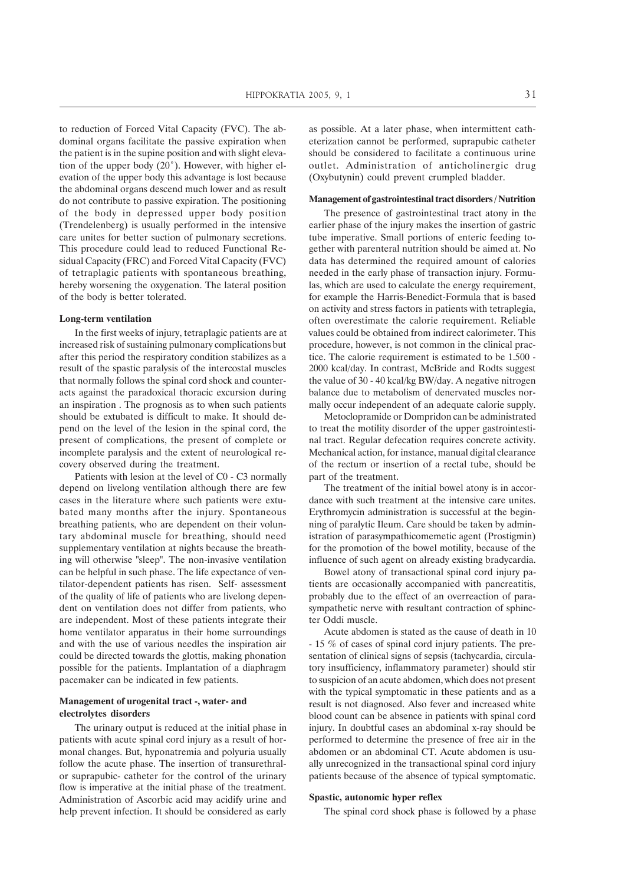to reduction of Forced Vital Capacity (FVC). The abdominal organs facilitate the passive expiration when the patient is in the supine position and with slight elevation of the upper body (20°). However, with higher elevation of the upper body this advantage is lost because the abdominal organs descend much lower and as result do not contribute to passive expiration. The positioning of the body in depressed upper body position (Trendelenberg) is usually performed in the intensive care unites for better suction of pulmonary secretions. This procedure could lead to reduced Functional Residual Capacity (FRC) and Forced Vital Capacity (FVC) of tetraplagic patients with spontaneous breathing, hereby worsening the oxygenation. The lateral position of the body is better tolerated.

#### **Long-term ventilation**

In the first weeks of injury, tetraplagic patients are at increased risk of sustaining pulmonary complications but after this period the respiratory condition stabilizes as a result of the spastic paralysis of the intercostal muscles that normally follows the spinal cord shock and counteracts against the paradoxical thoracic excursion during an inspiration . The prognosis as to when such patients should be extubated is difficult to make. It should depend on the level of the lesion in the spinal cord, the present of complications, the present of complete or incomplete paralysis and the extent of neurological recovery observed during the treatment.

Patients with lesion at the level of C0 - C3 normally depend on livelong ventilation although there are few cases in the literature where such patients were extubated many months after the injury. Spontaneous breathing patients, who are dependent on their voluntary abdominal muscle for breathing, should need supplementary ventilation at nights because the breathing will otherwise "sleep". The non-invasive ventilation can be helpful in such phase. The life expectance of ventilator-dependent patients has risen. Self- assessment of the quality of life of patients who are livelong dependent on ventilation does not differ from patients, who are independent. Most of these patients integrate their home ventilator apparatus in their home surroundings and with the use of various needles the inspiration air could be directed towards the glottis, making phonation possible for the patients. Implantation of a diaphragm pacemaker can be indicated in few patients.

## **Management of urogenital tract -, water- and electrolytes disorders**

The urinary output is reduced at the initial phase in patients with acute spinal cord injury as a result of hormonal changes. But, hyponatremia and polyuria usually follow the acute phase. The insertion of transurethralor suprapubic- catheter for the control of the urinary flow is imperative at the initial phase of the treatment. Administration of Ascorbic acid may acidify urine and help prevent infection. It should be considered as early

as possible. At a later phase, when intermittent catheterization cannot be performed, suprapubic catheter should be considered to facilitate a continuous urine outlet. Administration of anticholinergic drug (Oxybutynin) could prevent crumpled bladder.

## **Management of gastrointestinal tract disorders / Nutrition**

The presence of gastrointestinal tract atony in the earlier phase of the injury makes the insertion of gastric tube imperative. Small portions of enteric feeding together with parenteral nutrition should be aimed at. No data has determined the required amount of calories needed in the early phase of transaction injury. Formulas, which are used to calculate the energy requirement, for example the Harris-Benedict-Formula that is based on activity and stress factors in patients with tetraplegia, often overestimate the calorie requirement. Reliable values could be obtained from indirect calorimeter. This procedure, however, is not common in the clinical practice. The calorie requirement is estimated to be 1.500 - 2000 kcal/day. In contrast, McBride and Rodts suggest the value of 30 - 40 kcal/kg BW/day. A negative nitrogen balance due to metabolism of denervated muscles normally occur independent of an adequate calorie supply.

Metoclopramide or Dompridon can be administrated to treat the motility disorder of the upper gastrointestinal tract. Regular defecation requires concrete activity. Mechanical action, for instance, manual digital clearance of the rectum or insertion of a rectal tube, should be part of the treatment.

The treatment of the initial bowel atony is in accordance with such treatment at the intensive care unites. Erythromycin administration is successful at the beginning of paralytic Ileum. Care should be taken by administration of parasympathicomemetic agent (Prostigmin) for the promotion of the bowel motility, because of the influence of such agent on already existing bradycardia.

Bowel atony of transactional spinal cord injury patients are occasionally accompanied with pancreatitis, probably due to the effect of an overreaction of parasympathetic nerve with resultant contraction of sphincter Oddi muscle.

Acute abdomen is stated as the cause of death in 10 - 15 % of cases of spinal cord injury patients. The presentation of clinical signs of sepsis (tachycardia, circulatory insufficiency, inflammatory parameter) should stir to suspicion of an acute abdomen, which does not present with the typical symptomatic in these patients and as a result is not diagnosed. Also fever and increased white blood count can be absence in patients with spinal cord injury. In doubtful cases an abdominal x-ray should be performed to determine the presence of free air in the abdomen or an abdominal CT. Acute abdomen is usually unrecognized in the transactional spinal cord injury patients because of the absence of typical symptomatic.

## **Spastic, autonomic hyper reflex**

The spinal cord shock phase is followed by a phase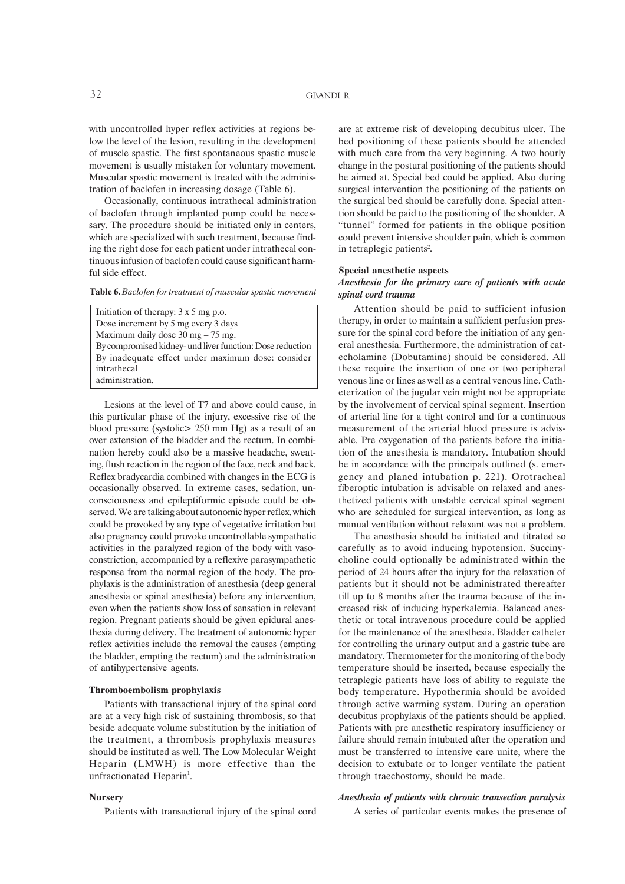with uncontrolled hyper reflex activities at regions below the level of the lesion, resulting in the development of muscle spastic. The first spontaneous spastic muscle movement is usually mistaken for voluntary movement. Muscular spastic movement is treated with the administration of baclofen in increasing dosage (Table 6).

Occasionally, continuous intrathecal administration of baclofen through implanted pump could be necessary. The procedure should be initiated only in centers, which are specialized with such treatment, because finding the right dose for each patient under intrathecal continuous infusion of baclofen could cause significant harmful side effect.

#### **Table 6.** *Baclofen for treatment of muscular spastic movement*

Initiation of therapy: 3 x 5 mg p.o. Dose increment by 5 mg every 3 days Maximum daily dose 30 mg – 75 mg. By compromised kidney- und liver function: Dose reduction By inadequate effect under maximum dose: consider intrathecal administration.

Lesions at the level of T7 and above could cause, in this particular phase of the injury, excessive rise of the blood pressure (systolic> 250 mm Hg) as a result of an over extension of the bladder and the rectum. In combination hereby could also be a massive headache, sweating, flush reaction in the region of the face, neck and back. Reflex bradycardia combined with changes in the ECG is occasionally observed. In extreme cases, sedation, unconsciousness and epileptiformic episode could be observed. We are talking about autonomic hyper reflex, which could be provoked by any type of vegetative irritation but also pregnancy could provoke uncontrollable sympathetic activities in the paralyzed region of the body with vasoconstriction, accompanied by a reflexive parasympathetic response from the normal region of the body. The prophylaxis is the administration of anesthesia (deep general anesthesia or spinal anesthesia) before any intervention, even when the patients show loss of sensation in relevant region. Pregnant patients should be given epidural anesthesia during delivery. The treatment of autonomic hyper reflex activities include the removal the causes (empting the bladder, empting the rectum) and the administration of antihypertensive agents.

## **Thromboembolism prophylaxis**

Patients with transactional injury of the spinal cord are at a very high risk of sustaining thrombosis, so that beside adequate volume substitution by the initiation of the treatment, a thrombosis prophylaxis measures should be instituted as well. The Low Molecular Weight Heparin (LMWH) is more effective than the unfractionated Heparin<sup>1</sup>.

#### **Nursery**

Patients with transactional injury of the spinal cord

are at extreme risk of developing decubitus ulcer. The bed positioning of these patients should be attended with much care from the very beginning. A two hourly change in the postural positioning of the patients should be aimed at. Special bed could be applied. Also during surgical intervention the positioning of the patients on the surgical bed should be carefully done. Special attention should be paid to the positioning of the shoulder. A "tunnel" formed for patients in the oblique position could prevent intensive shoulder pain, which is common in tetraplegic patients<sup>2</sup>.

#### **Special anesthetic aspects**

## *Anesthesia for the primary care of patients with acute spinal cord trauma*

Attention should be paid to sufficient infusion therapy, in order to maintain a sufficient perfusion pressure for the spinal cord before the initiation of any general anesthesia. Furthermore, the administration of catecholamine (Dobutamine) should be considered. All these require the insertion of one or two peripheral venous line or lines as well as a central venous line. Catheterization of the jugular vein might not be appropriate by the involvement of cervical spinal segment. Insertion of arterial line for a tight control and for a continuous measurement of the arterial blood pressure is advisable. Pre oxygenation of the patients before the initiation of the anesthesia is mandatory. Intubation should be in accordance with the principals outlined (s. emergency and planed intubation p. 221). Orotracheal fiberoptic intubation is advisable on relaxed and anesthetized patients with unstable cervical spinal segment who are scheduled for surgical intervention, as long as manual ventilation without relaxant was not a problem.

The anesthesia should be initiated and titrated so carefully as to avoid inducing hypotension. Succinycholine could optionally be administrated within the period of 24 hours after the injury for the relaxation of patients but it should not be administrated thereafter till up to 8 months after the trauma because of the increased risk of inducing hyperkalemia. Balanced anesthetic or total intravenous procedure could be applied for the maintenance of the anesthesia. Bladder catheter for controlling the urinary output and a gastric tube are mandatory. Thermometer for the monitoring of the body temperature should be inserted, because especially the tetraplegic patients have loss of ability to regulate the body temperature. Hypothermia should be avoided through active warming system. During an operation decubitus prophylaxis of the patients should be applied. Patients with pre anesthetic respiratory insufficiency or failure should remain intubated after the operation and must be transferred to intensive care unite, where the decision to extubate or to longer ventilate the patient through traechostomy, should be made.

## *Anesthesia of patients with chronic transection paralysis*

A series of particular events makes the presence of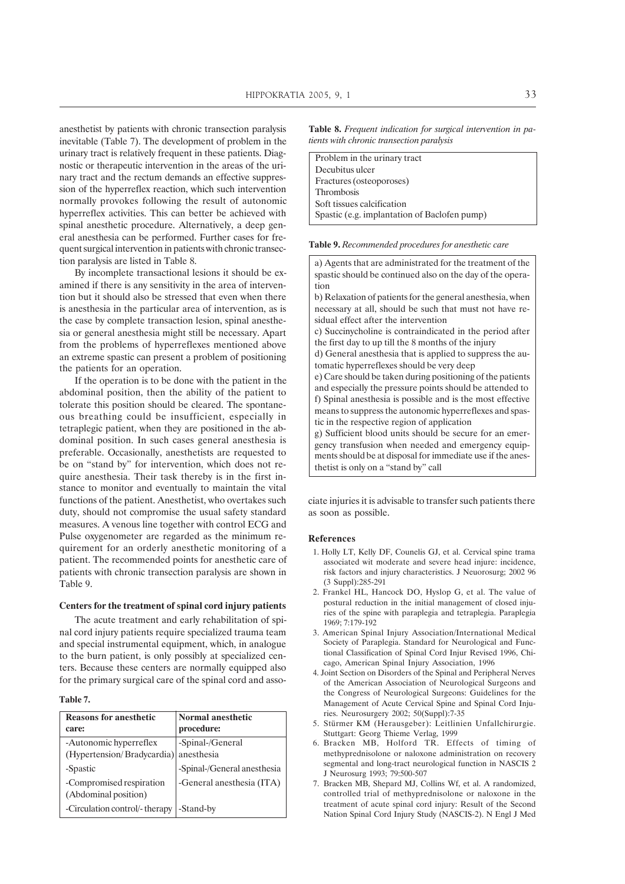anesthetist by patients with chronic transection paralysis inevitable (Table 7). The development of problem in the urinary tract is relatively frequent in these patients. Diagnostic or therapeutic intervention in the areas of the urinary tract and the rectum demands an effective suppression of the hyperreflex reaction, which such intervention normally provokes following the result of autonomic hyperreflex activities. This can better be achieved with spinal anesthetic procedure. Alternatively, a deep general anesthesia can be performed. Further cases for frequent surgical intervention in patients with chronic transection paralysis are listed in Table 8.

By incomplete transactional lesions it should be examined if there is any sensitivity in the area of intervention but it should also be stressed that even when there is anesthesia in the particular area of intervention, as is the case by complete transaction lesion, spinal anesthesia or general anesthesia might still be necessary. Apart from the problems of hyperreflexes mentioned above an extreme spastic can present a problem of positioning the patients for an operation.

If the operation is to be done with the patient in the abdominal position, then the ability of the patient to tolerate this position should be cleared. The spontaneous breathing could be insufficient, especially in tetraplegic patient, when they are positioned in the abdominal position. In such cases general anesthesia is preferable. Occasionally, anesthetists are requested to be on "stand by" for intervention, which does not require anesthesia. Their task thereby is in the first instance to monitor and eventually to maintain the vital functions of the patient. Anesthetist, who overtakes such duty, should not compromise the usual safety standard measures. A venous line together with control ECG and Pulse oxygenometer are regarded as the minimum requirement for an orderly anesthetic monitoring of a patient. The recommended points for anesthetic care of patients with chronic transection paralysis are shown in Table 9.

#### **Centers for the treatment of spinal cord injury patients**

The acute treatment and early rehabilitation of spinal cord injury patients require specialized trauma team and special instrumental equipment, which, in analogue to the burn patient, is only possibly at specialized centers. Because these centers are normally equipped also for the primary surgical care of the spinal cord and asso-

#### **Table 7.**

| <b>Reasons for anesthetic</b>                                   | Normal anesthetic           |
|-----------------------------------------------------------------|-----------------------------|
| care:                                                           | procedure:                  |
| -Autonomic hyperreflex<br>(Hypertension/Bradycardia) anesthesia | -Spinal-/General            |
| -Spastic                                                        | -Spinal-/General anesthesia |
| -Compromised respiration<br>(Abdominal position)                | -General anesthesia (ITA)   |
| -Circulation control/- therapy                                  | -Stand-by                   |

**Table 8.** *Frequent indication for surgical intervention in patients with chronic transection paralysis*

| Problem in the urinary tract                 |
|----------------------------------------------|
| Decubitus ulcer                              |
| Fractures (osteoporoses)                     |
| <b>Thrombosis</b>                            |
| Soft tissues calcification                   |
| Spastic (e.g. implantation of Baclofen pump) |

**Table 9.** *Recommended procedures for anesthetic care*

a) Agents that are administrated for the treatment of the spastic should be continued also on the day of the operation

b) Relaxation of patients for the general anesthesia, when necessary at all, should be such that must not have residual effect after the intervention

c) Succinycholine is contraindicated in the period after the first day to up till the 8 months of the injury

d) General anesthesia that is applied to suppress the automatic hyperreflexes should be very deep

e) Care should be taken during positioning of the patients and especially the pressure points should be attended to f) Spinal anesthesia is possible and is the most effective means to suppress the autonomic hyperreflexes and spastic in the respective region of application

g) Sufficient blood units should be secure for an emergency transfusion when needed and emergency equipments should be at disposal for immediate use if the anesthetist is only on a "stand by" call

ciate injuries it is advisable to transfer such patients there as soon as possible.

#### **References**

- 1. Holly LT, Kelly DF, Counelis GJ, et al. Cervical spine trama associated wit moderate and severe head injure: incidence, risk factors and injury characteristics. J Neuorosurg; 2002 96 (3 Suppl):285-291
- 2. Frankel HL, Hancock DO, Hyslop G, et al. The value of postural reduction in the initial management of closed injuries of the spine with paraplegia and tetraplegia. Paraplegia 1969; 7:179-192
- 3. American Spinal Injury Association/International Medical Society of Paraplegia. Standard for Neurological and Functional Classification of Spinal Cord Injur Revised 1996, Chicago, American Spinal Injury Association, 1996
- 4. Joint Section on Disorders of the Spinal and Peripheral Nerves of the American Association of Neurological Surgeons and the Congress of Neurological Surgeons: Guidelines for the Management of Acute Cervical Spine and Spinal Cord Injuries. Neurosurgery 2002; 50(Suppl):7-35
- 5. Stürmer KM (Herausgeber): Leitlinien Unfallchirurgie. Stuttgart: Georg Thieme Verlag, 1999
- 6. Bracken MB, Holford TR. Effects of timing of methyprednisolone or naloxone administration on recovery segmental and long-tract neurological function in NASCIS 2 J Neurosurg 1993; 79:500-507
- 7. Bracken MB, Shepard MJ, Collins Wf, et al. A randomized, controlled trial of methyprednisolone or naloxone in the treatment of acute spinal cord injury: Result of the Second Nation Spinal Cord Injury Study (NASCIS-2). N Engl J Med